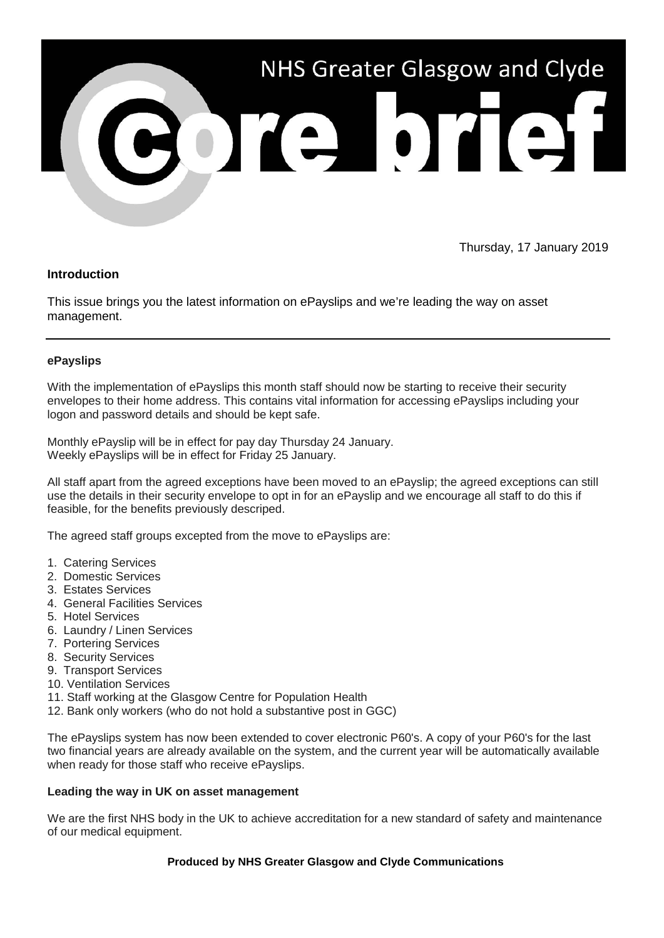

Thursday, 17 January 2019

## **Introduction**

This issue brings you the latest information on ePayslips and we're leading the way on asset management.

## **ePayslips**

With the implementation of ePayslips this month staff should now be starting to receive their security envelopes to their home address. This contains vital information for accessing ePayslips including your logon and password details and should be kept safe.

Monthly ePayslip will be in effect for pay day Thursday 24 January. Weekly ePayslips will be in effect for Friday 25 January.

All staff apart from the agreed exceptions have been moved to an ePayslip; the agreed exceptions can still use the details in their security envelope to opt in for an ePayslip and we encourage all staff to do this if feasible, for the benefits previously descriped.

The agreed staff groups excepted from the move to ePayslips are:

- 1. Catering Services
- 2. Domestic Services
- 3. Estates Services
- 4. General Facilities Services
- 5. Hotel Services
- 6. Laundry / Linen Services
- 7. Portering Services
- 8. Security Services
- 9. Transport Services
- 10. Ventilation Services
- 11. Staff working at the Glasgow Centre for Population Health
- 12. Bank only workers (who do not hold a substantive post in GGC)

The ePayslips system has now been extended to cover electronic P60's. A copy of your P60's for the last two financial years are already available on the system, and the current year will be automatically available when ready for those staff who receive ePayslips.

## **Leading the way in UK on asset management**

We are the first NHS body in the UK to achieve accreditation for a new standard of safety and maintenance of our medical equipment.

## **Produced by NHS Greater Glasgow and Clyde Communications**